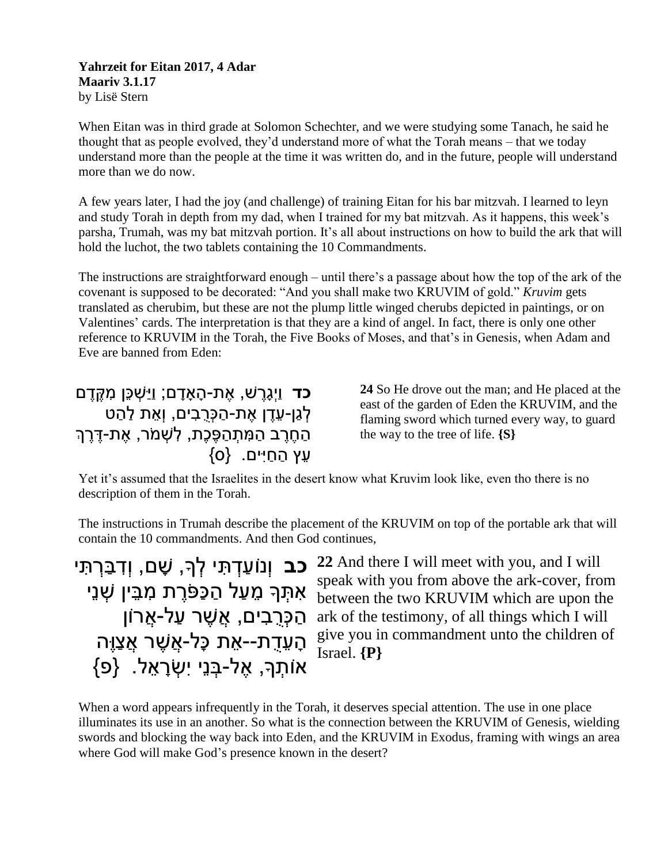## **Yahrzeit for Eitan 2017, 4 Adar Maariv 3.1.17** by Lisë Stern

When Eitan was in third grade at Solomon Schechter, and we were studying some Tanach, he said he thought that as people evolved, they'd understand more of what the Torah means – that we today understand more than the people at the time it was written do, and in the future, people will understand more than we do now.

A few years later, I had the joy (and challenge) of training Eitan for his bar mitzvah. I learned to leyn and study Torah in depth from my dad, when I trained for my bat mitzvah. As it happens, this week's parsha, Trumah, was my bat mitzvah portion. It's all about instructions on how to build the ark that will hold the luchot, the two tablets containing the 10 Commandments.

The instructions are straightforward enough – until there's a passage about how the top of the ark of the covenant is supposed to be decorated: "And you shall make two KRUVIM of gold." *Kruvim* gets translated as cherubim, but these are not the plump little winged cherubs depicted in paintings, or on Valentines' cards. The interpretation is that they are a kind of angel. In fact, there is only one other reference to KRUVIM in the Torah, the Five Books of Moses, and that's in Genesis, when Adam and Eve are banned from Eden:

**כד** וַיְגָרֶ ׁש, אֶ ת-הָ אָ דָ ם; וַיַׁשְ כֵּן מִ קֶ דֶ ם לְגֵן-עָדָן אִת-הַכּרבִים, וְאֵת לַהַט .<br>הַחֵרֵב הַמִּתְהַפֶּכֶת, לִשְׁמֹר, אֶת-דֶּרֶךְ  $\{o\}$  הַחַיִּים.  $\{o\}$ 

**24** So He drove out the man; and He placed at the east of the garden of Eden the KRUVIM, and the flaming sword which turned every way, to guard the way to the tree of life. **{S}**

Yet it's assumed that the Israelites in the desert know what Kruvim look like, even tho there is no description of them in the Torah.

The instructions in Trumah describe the placement of the KRUVIM on top of the portable ark that will contain the 10 commandments. And then God continues,

**כב** וְנוֹעַדְתִּי לְךָּ, שָׁם, וְדִבַּרְתִּי אִּ תְ ָך מֵ עַ ל הַ כַפֹּרֶ ת מִּ בֵ ין שְ נֵי ְהַכְּרֵבִים, אֲשֶׁר עַל-אֲרוֹן הָׁ עֵ דֻ ת--אֵ ת כָׁ ל-אֲשֶ ר אֲצַוֶה  ${0}$ אוֹתְךָ, אֶל-בְּנֵי יִשְׂרָאֶל.  ${e}$ 

**22** And there I will meet with you, and I will speak with you from above the ark-cover, from between the two KRUVIM which are upon the ark of the testimony, of all things which I will give you in commandment unto the children of Israel. **{P}**

When a word appears infrequently in the Torah, it deserves special attention. The use in one place illuminates its use in an another. So what is the connection between the KRUVIM of Genesis, wielding swords and blocking the way back into Eden, and the KRUVIM in Exodus, framing with wings an area where God will make God's presence known in the desert?